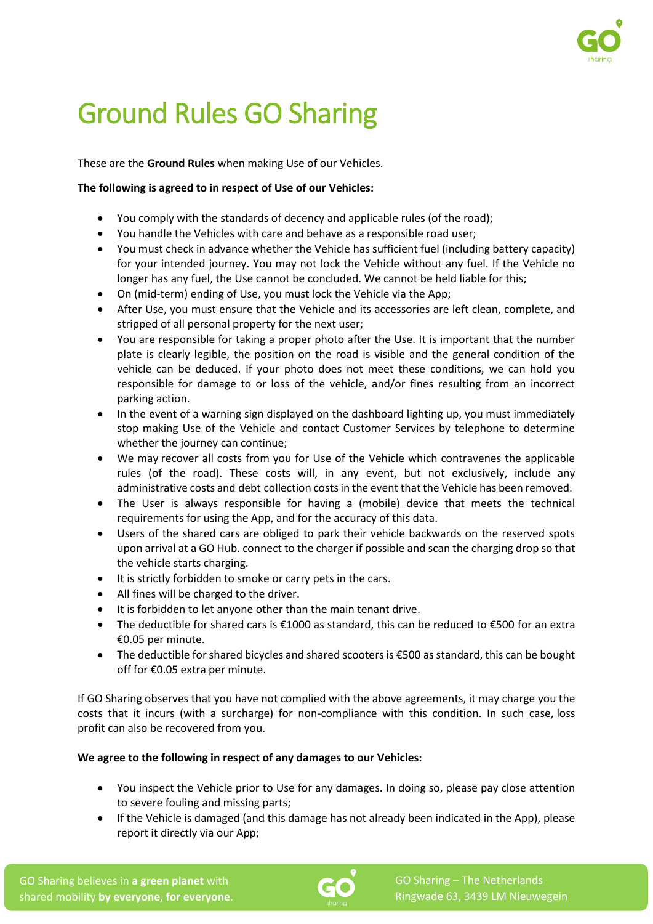

# Ground Rules GO Sharing

These are the **Ground Rules** when making Use of our Vehicles.

# **The following is agreed to in respect of Use of our Vehicles:**

- You comply with the standards of decency and applicable rules (of the road);
- You handle the Vehicles with care and behave as a responsible road user;
- You must check in advance whether the Vehicle has sufficient fuel (including battery capacity) for your intended journey. You may not lock the Vehicle without any fuel. If the Vehicle no longer has any fuel, the Use cannot be concluded. We cannot be held liable for this;
- On (mid-term) ending of Use, you must lock the Vehicle via the App;
- After Use, you must ensure that the Vehicle and its accessories are left clean, complete, and stripped of all personal property for the next user;
- You are responsible for taking a proper photo after the Use. It is important that the number plate is clearly legible, the position on the road is visible and the general condition of the vehicle can be deduced. If your photo does not meet these conditions, we can hold you responsible for damage to or loss of the vehicle, and/or fines resulting from an incorrect parking action.
- In the event of a warning sign displayed on the dashboard lighting up, you must immediately stop making Use of the Vehicle and contact Customer Services by telephone to determine whether the journey can continue:
- We may recover all costs from you for Use of the Vehicle which contravenes the applicable rules (of the road). These costs will, in any event, but not exclusively, include any administrative costs and debt collection costs in the event that the Vehicle has been removed.
- The User is always responsible for having a (mobile) device that meets the technical requirements for using the App, and for the accuracy of this data.
- Users of the shared cars are obliged to park their vehicle backwards on the reserved spots upon arrival at a GO Hub. connect to the charger if possible and scan the charging drop so that the vehicle starts charging.
- It is strictly forbidden to smoke or carry pets in the cars.
- All fines will be charged to the driver.
- It is forbidden to let anyone other than the main tenant drive.
- The deductible for shared cars is €1000 as standard, this can be reduced to €500 for an extra €0.05 per minute.
- The deductible for shared bicycles and shared scooters is €500 as standard, this can be bought off for €0.05 extra per minute.

If GO Sharing observes that you have not complied with the above agreements, it may charge you the costs that it incurs (with a surcharge) for non-compliance with this condition. In such case, loss profit can also be recovered from you.

# **We agree to the following in respect of any damages to our Vehicles:**

- You inspect the Vehicle prior to Use for any damages. In doing so, please pay close attention to severe fouling and missing parts;
- If the Vehicle is damaged (and this damage has not already been indicated in the App), please report it directly via our App;

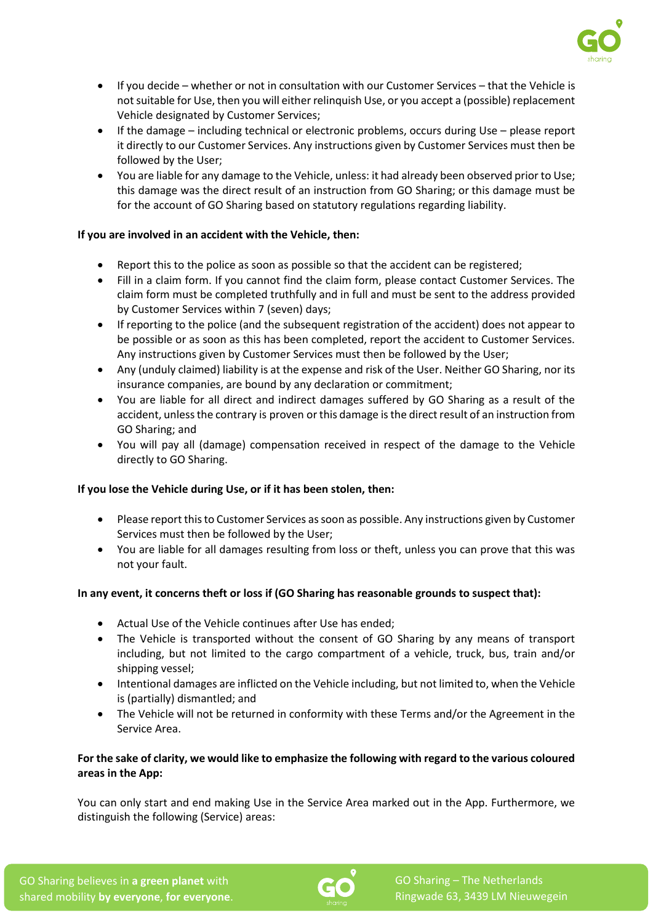

- If you decide whether or not in consultation with our Customer Services that the Vehicle is not suitable for Use, then you will either relinquish Use, or you accept a (possible) replacement Vehicle designated by Customer Services;
- If the damage including technical or electronic problems, occurs during Use please report it directly to our Customer Services. Any instructions given by Customer Services must then be followed by the User;
- You are liable for any damage to the Vehicle, unless: it had already been observed prior to Use; this damage was the direct result of an instruction from GO Sharing; or this damage must be for the account of GO Sharing based on statutory regulations regarding liability.

### **If you are involved in an accident with the Vehicle, then:**

- Report this to the police as soon as possible so that the accident can be registered;
- Fill in a claim form. If you cannot find the claim form, please contact Customer Services. The claim form must be completed truthfully and in full and must be sent to the address provided by Customer Services within 7 (seven) days;
- If reporting to the police (and the subsequent registration of the accident) does not appear to be possible or as soon as this has been completed, report the accident to Customer Services. Any instructions given by Customer Services must then be followed by the User;
- Any (unduly claimed) liability is at the expense and risk of the User. Neither GO Sharing, nor its insurance companies, are bound by any declaration or commitment;
- You are liable for all direct and indirect damages suffered by GO Sharing as a result of the accident, unless the contrary is proven or this damage is the direct result of an instruction from GO Sharing; and
- You will pay all (damage) compensation received in respect of the damage to the Vehicle directly to GO Sharing.

# **If you lose the Vehicle during Use, or if it has been stolen, then:**

- Please report this to Customer Services as soon as possible. Any instructions given by Customer Services must then be followed by the User;
- You are liable for all damages resulting from loss or theft, unless you can prove that this was not your fault.

# **In any event, it concerns theft or loss if (GO Sharing has reasonable grounds to suspect that):**

- Actual Use of the Vehicle continues after Use has ended;
- The Vehicle is transported without the consent of GO Sharing by any means of transport including, but not limited to the cargo compartment of a vehicle, truck, bus, train and/or shipping vessel;
- Intentional damages are inflicted on the Vehicle including, but not limited to, when the Vehicle is (partially) dismantled; and
- The Vehicle will not be returned in conformity with these Terms and/or the Agreement in the Service Area.

### **For the sake of clarity, we would like to emphasize the following with regard to the various coloured areas in the App:**

You can only start and end making Use in the Service Area marked out in the App. Furthermore, we distinguish the following (Service) areas: